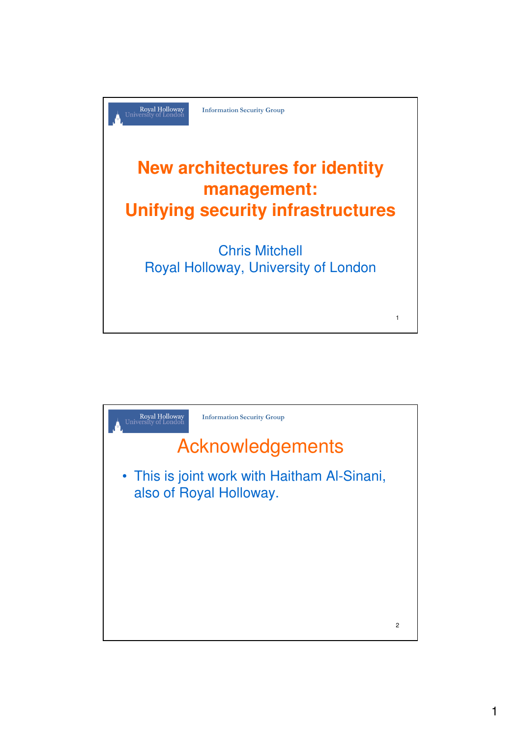

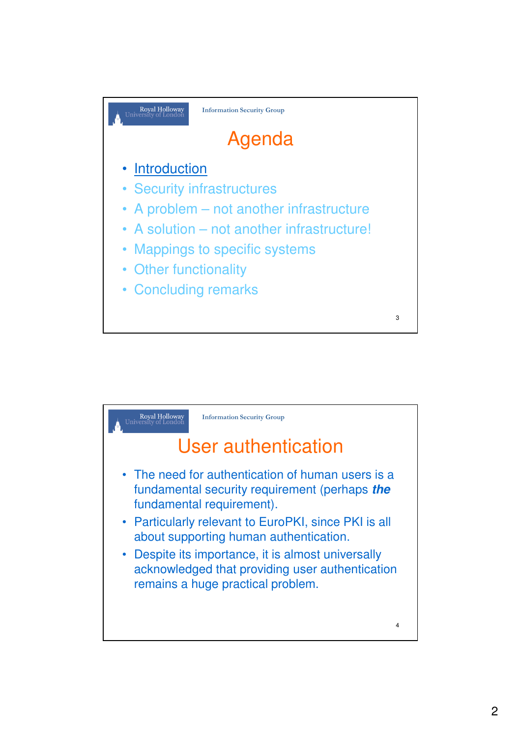

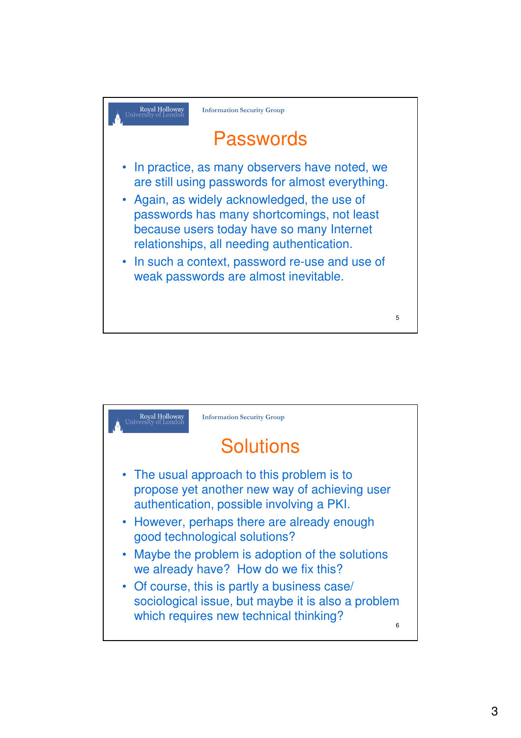

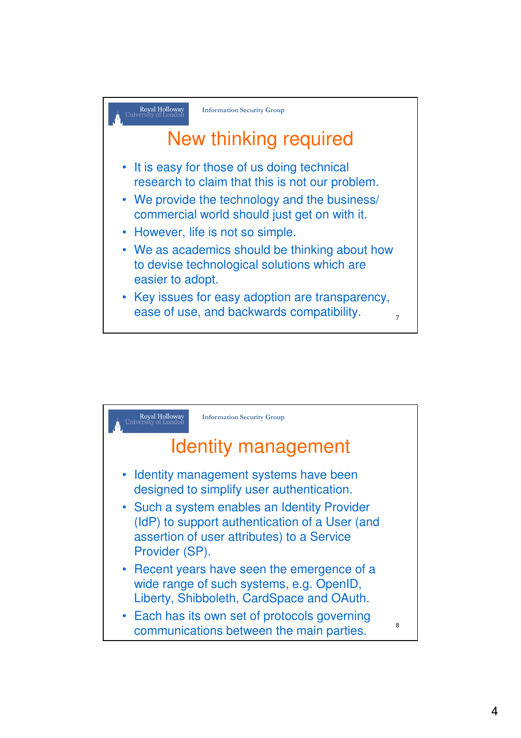

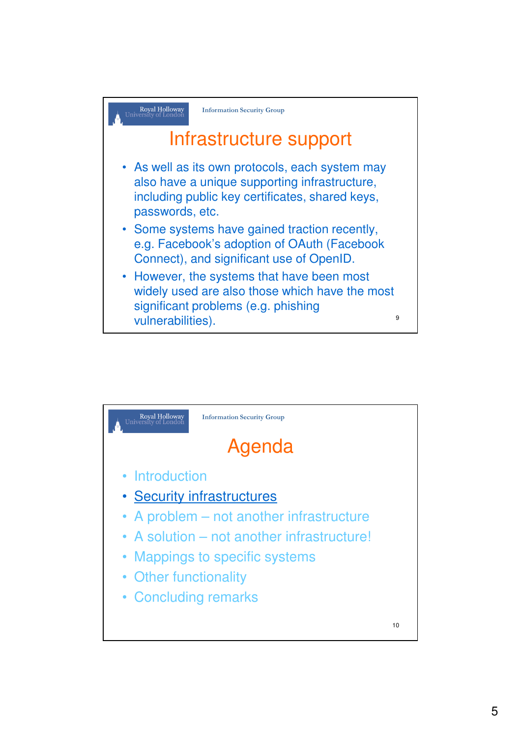

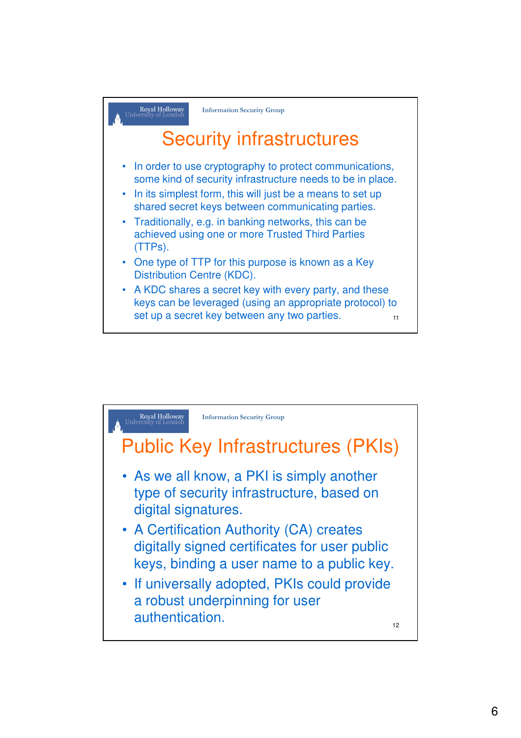

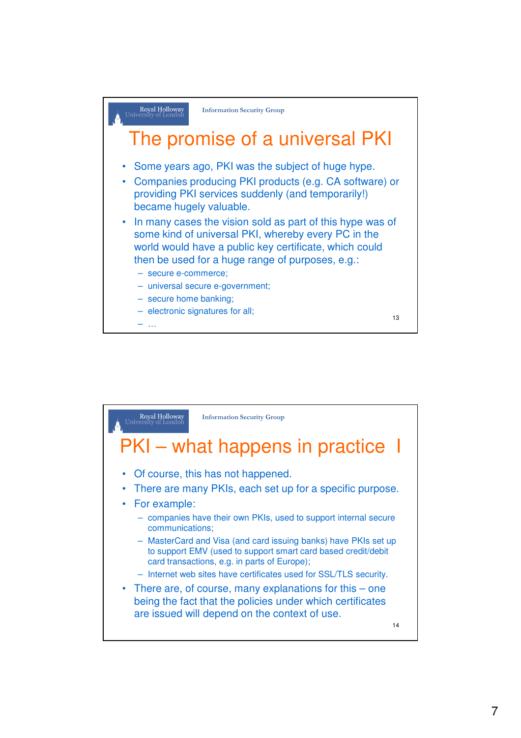

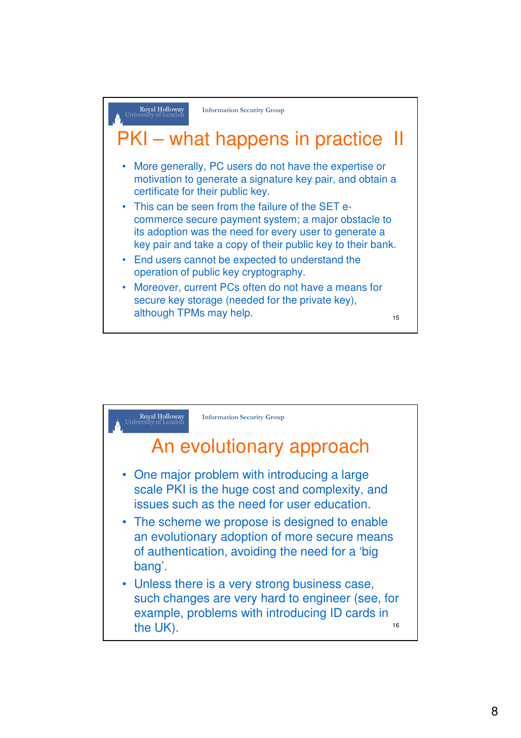

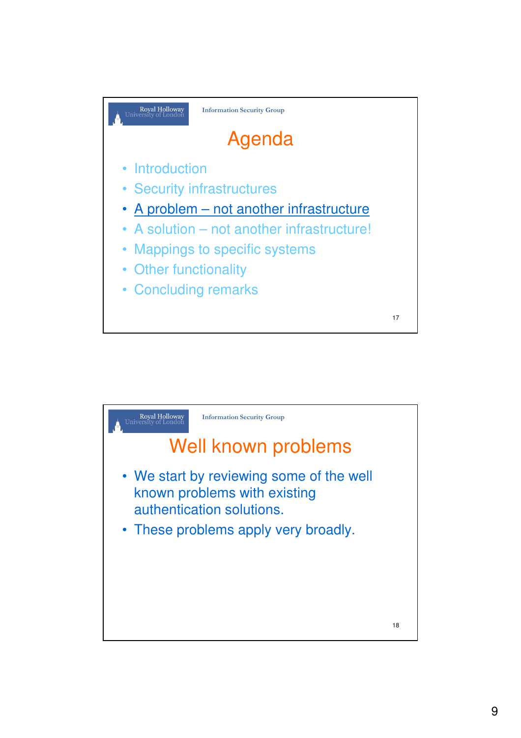

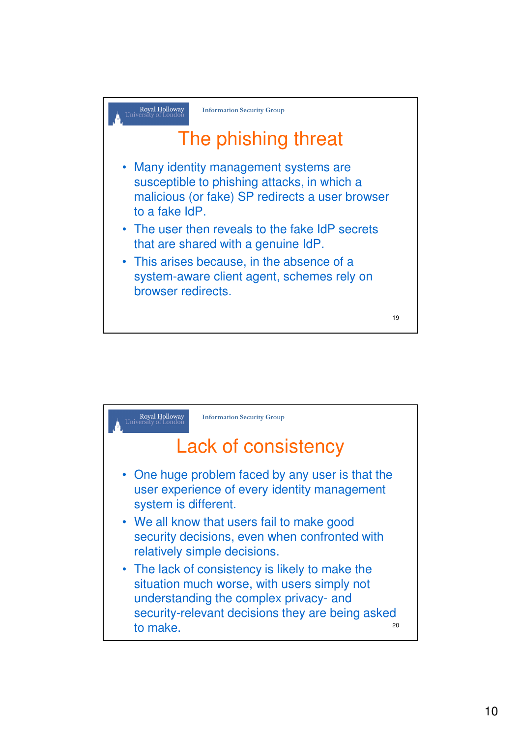

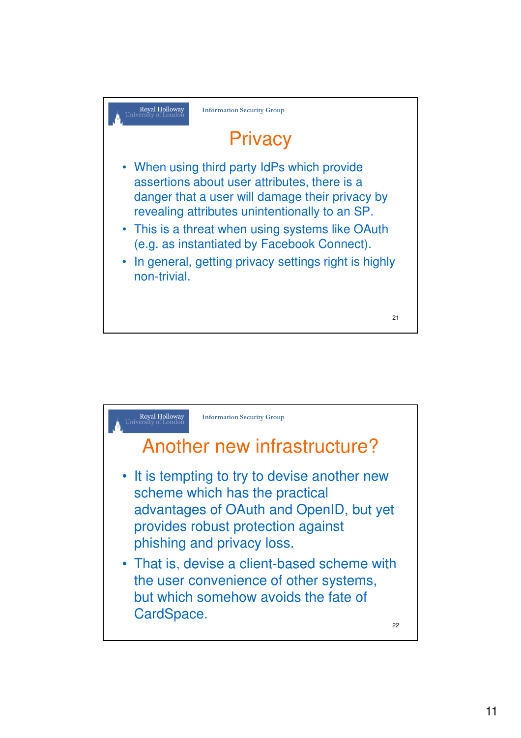

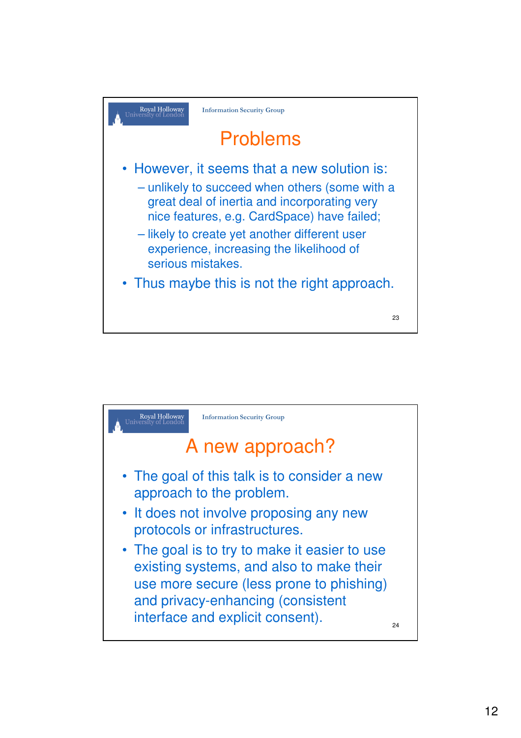

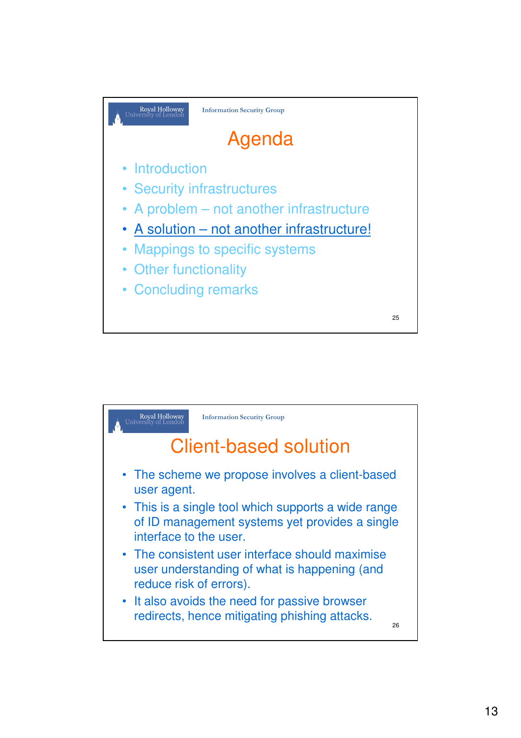

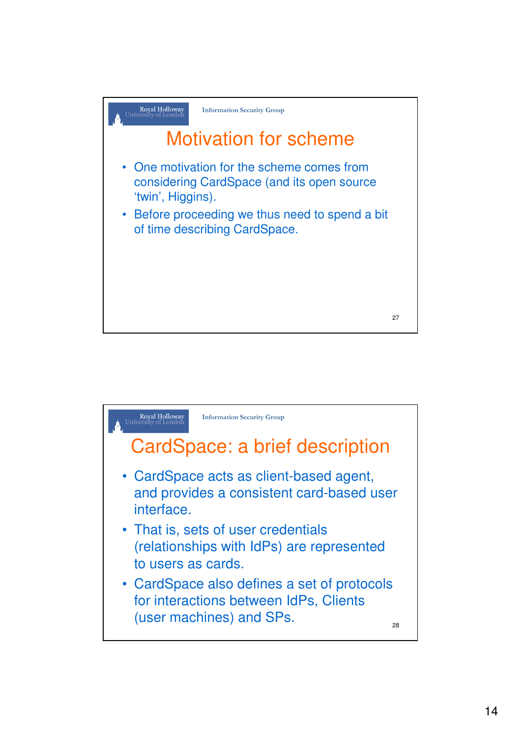

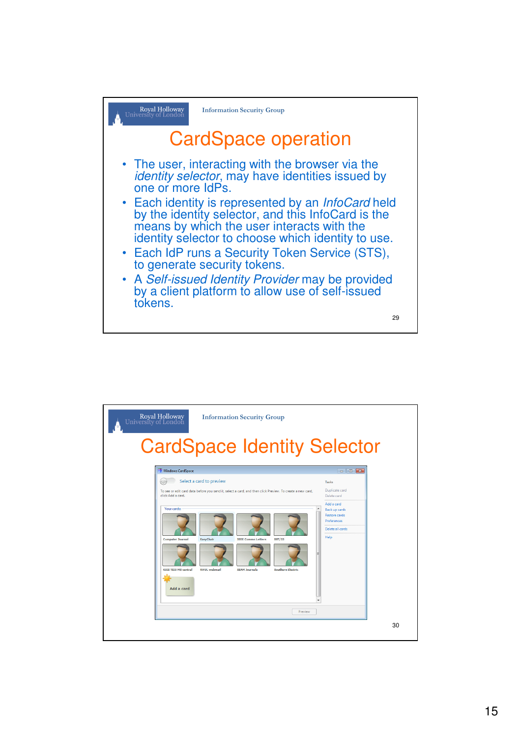

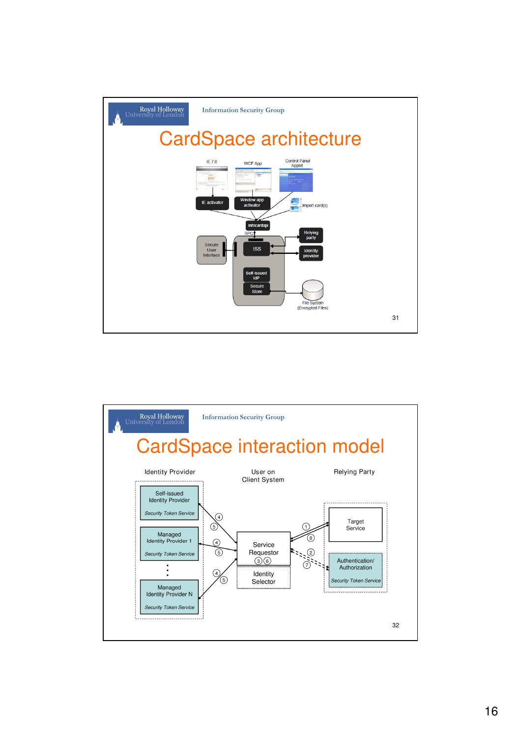

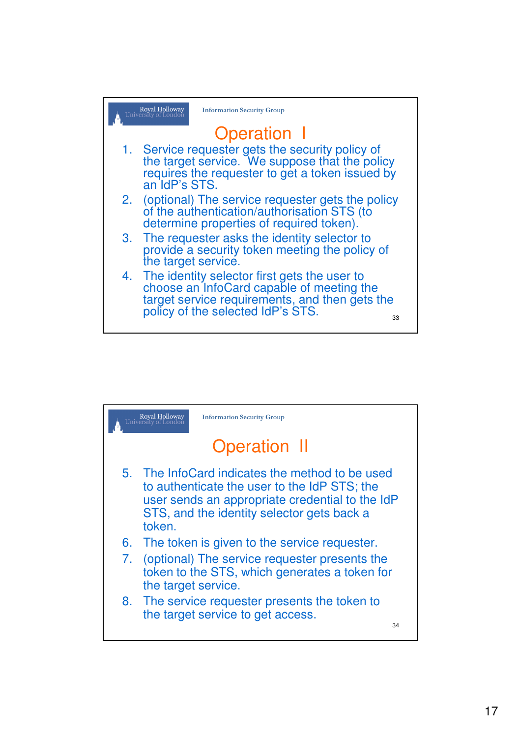

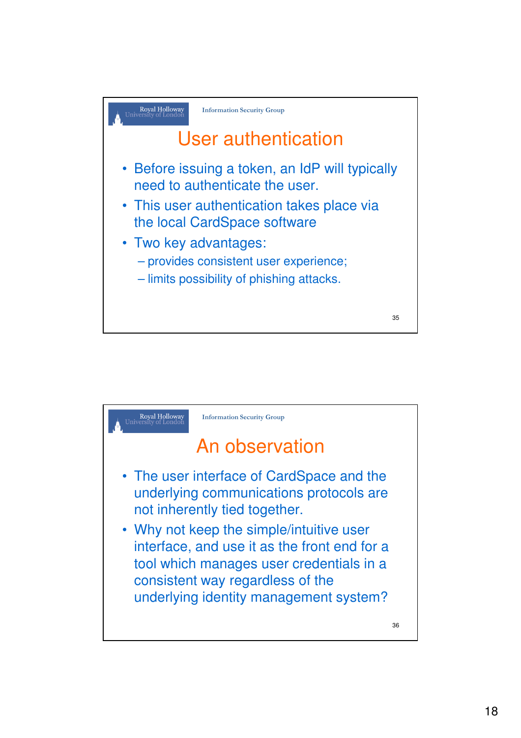

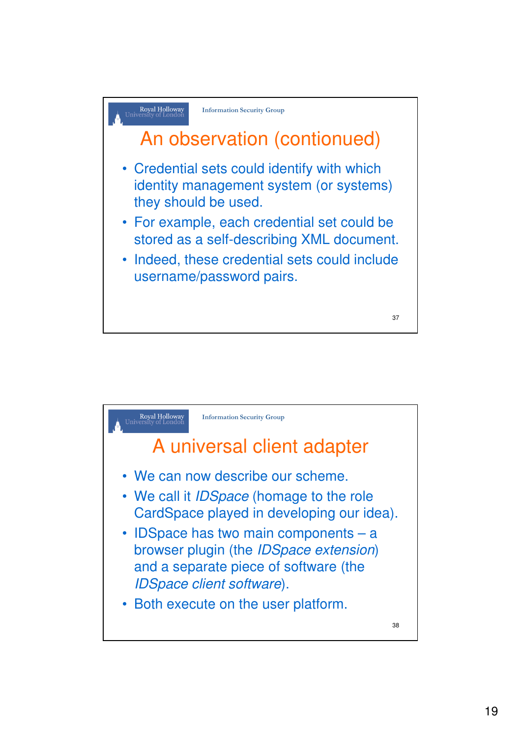

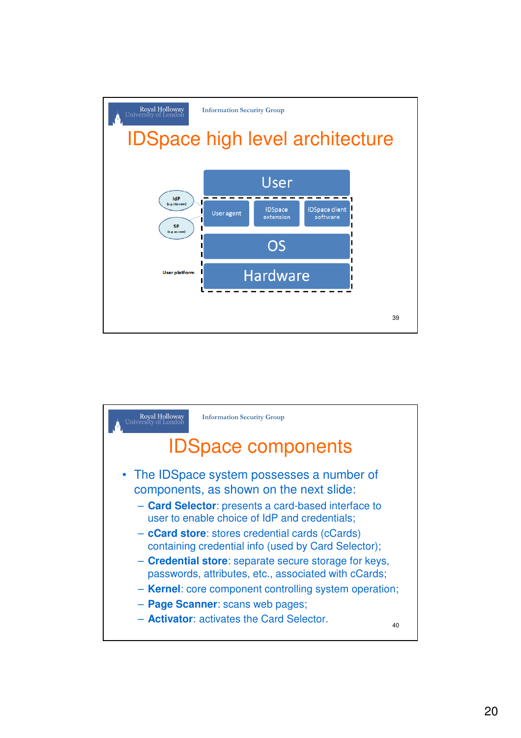

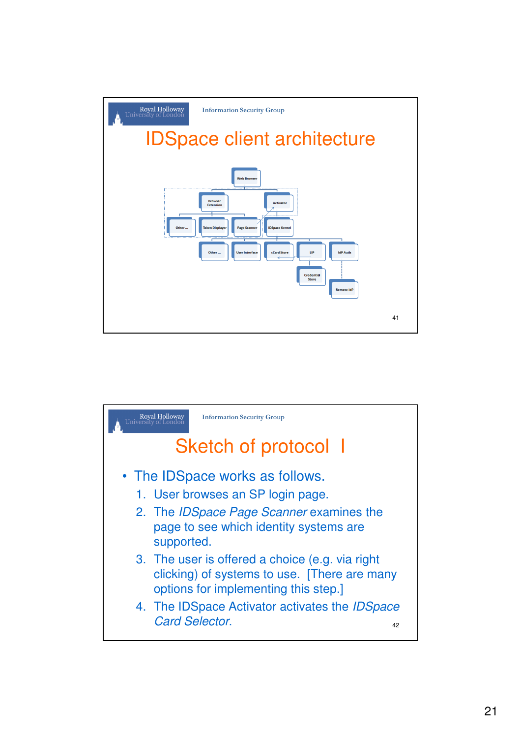

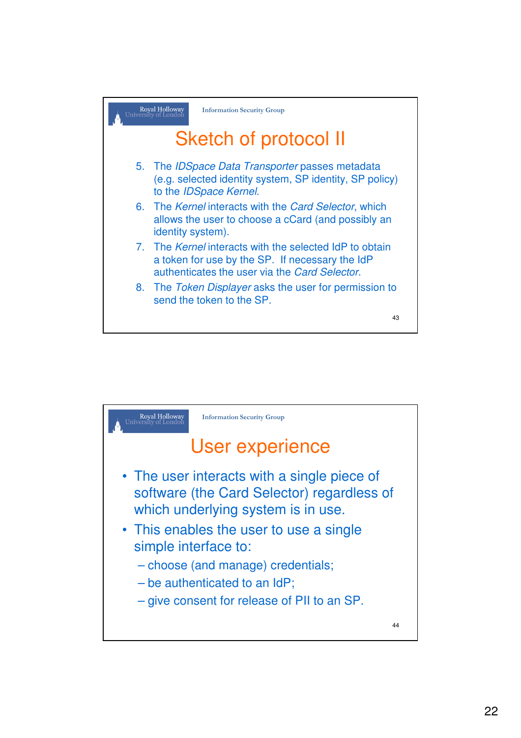

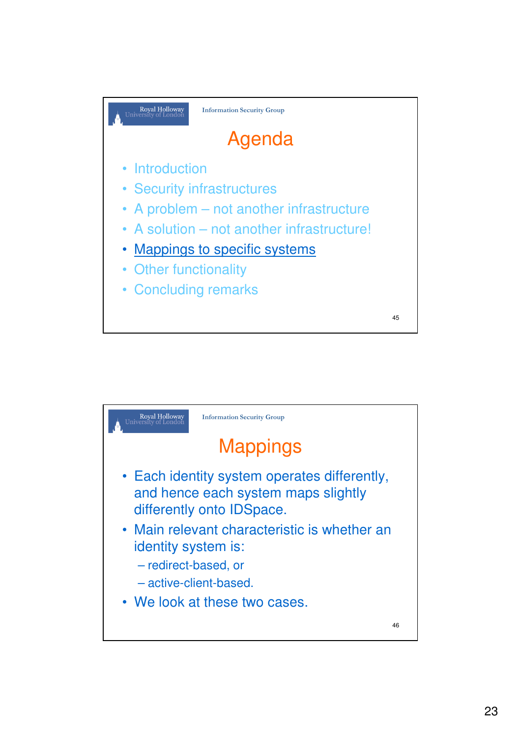

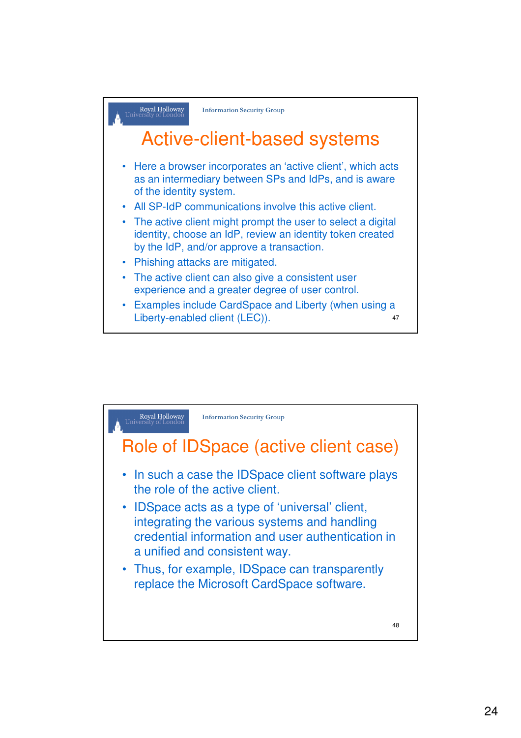

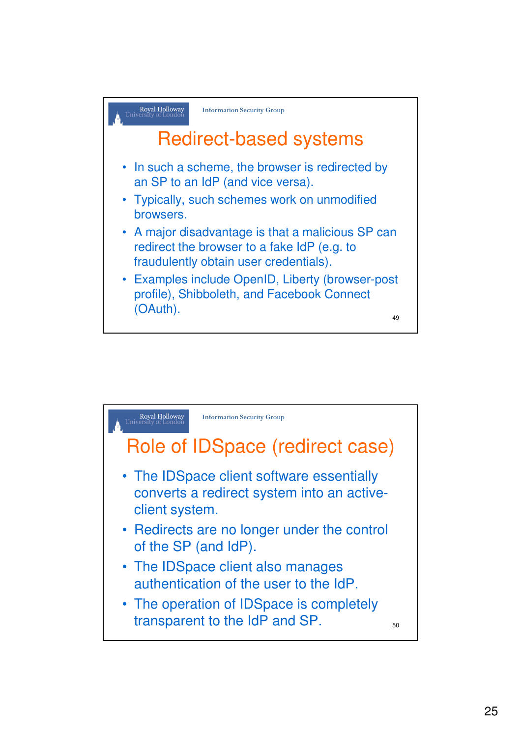

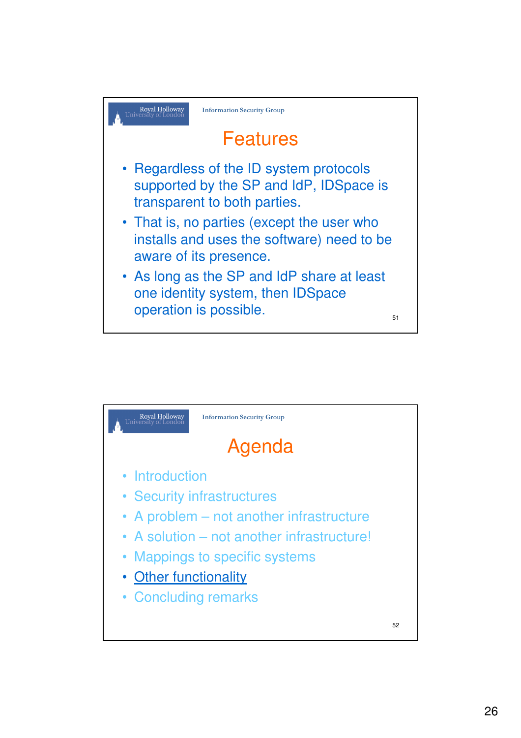

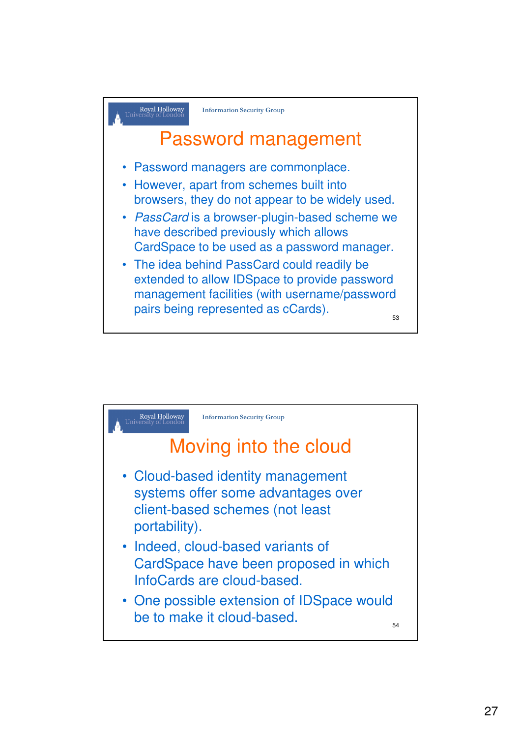

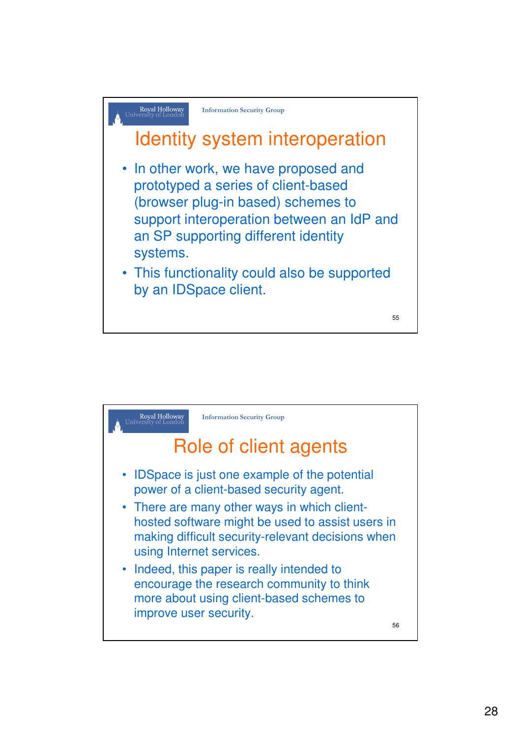

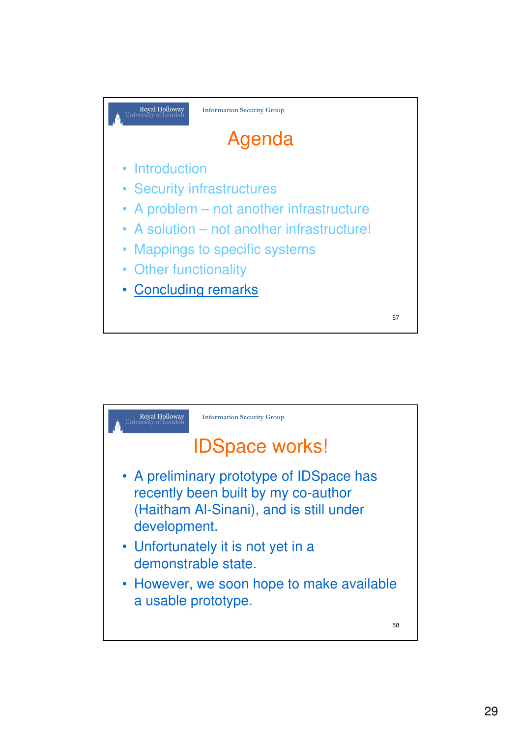